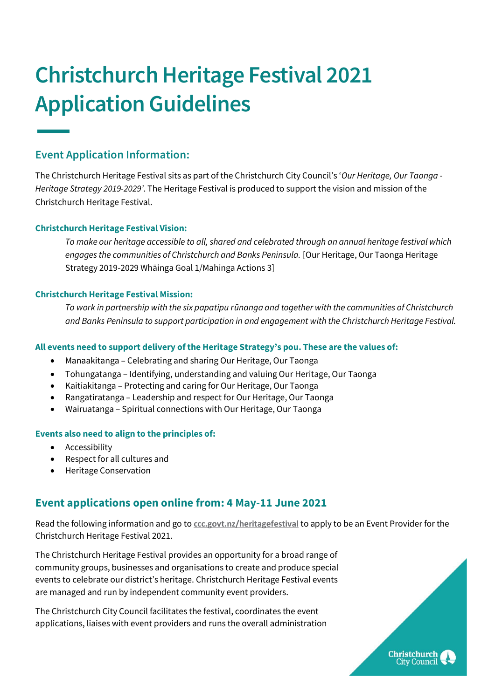# **Christchurch Heritage Festival 2021 Application Guidelines**

# **Event Application Information:**

The Christchurch Heritage Festival sits as part of the Christchurch City Council's '*Our Heritage, Our Taonga - Heritage Strategy 2019-2029'*. The Heritage Festival is produced to support the vision and mission of the Christchurch Heritage Festival.

# **Christchurch Heritage Festival Vision:**

*To make our heritage accessible to all, shared and celebrated through an annual heritage festival which engages the communities of Christchurch and Banks Peninsula.* [Our Heritage, Our Taonga Heritage Strategy 2019-2029 Whāinga Goal 1/Mahinga Actions 3]

## **Christchurch Heritage Festival Mission:**

*To work in partnership with the six papatipu rūnanga and together with the communities of Christchurch and Banks Peninsula to support participation in and engagement with the Christchurch Heritage Festival.*

## **All events need to support delivery of the Heritage Strategy's pou. These are the values of:**

- Manaakitanga Celebrating and sharing Our Heritage, Our Taonga
- Tohungatanga Identifying, understanding and valuing Our Heritage, Our Taonga
- Kaitiakitanga Protecting and caring for Our Heritage, Our Taonga
- Rangatiratanga Leadership and respect for Our Heritage, Our Taonga
- Wairuatanga Spiritual connections with Our Heritage, Our Taonga

#### **Events also need to align to the principles of:**

- Accessibility
- Respect for all cultures and
- Heritage Conservation

# **Event applications open online from: 4 May-11 June 2021**

Read the following information and go to **[ccc.govt.nz/heritagefestival](https://ccc.govt.nz/culture-and-community/heritage/heritagefestival/)** to apply to be an Event Provider for the Christchurch Heritage Festival 2021.

The Christchurch Heritage Festival provides an opportunity for a broad range of community groups, businesses and organisations to create and produce special events to celebrate our district's heritage. Christchurch Heritage Festival events are managed and run by independent community event providers.

The Christchurch City Council facilitates the festival, coordinates the event applications, liaises with event providers and runs the overall administration

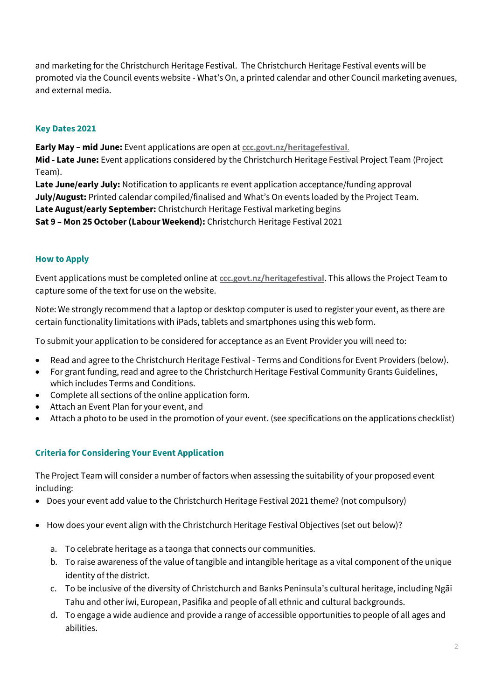and marketing for the Christchurch Heritage Festival. The Christchurch Heritage Festival events will be promoted via the Council events website - What's On, a printed calendar and other Council marketing avenues, and external media.

# **Key Dates 2021**

**Early May – mid June:** Event applications are open at **[ccc.govt.nz/heritagefestival](https://ccc.govt.nz/culture-and-community/heritage/heritagefestival/)**. **Mid - Late June:** Event applications considered by the Christchurch Heritage Festival Project Team (Project Team). Late June/early July: Notification to applicants re event application acceptance/funding approval

**July/August:** Printed calendar compiled/finalised and What's On events loaded by the Project Team.

**Late August/early September:** Christchurch Heritage Festival marketing begins

**Sat 9 – Mon 25 October(Labour Weekend):** Christchurch Heritage Festival 2021

# **How to Apply**

Event applications must be completed online at **[ccc.govt.nz/heritagefestival](https://ccc.govt.nz/culture-and-community/heritage/heritagefestival/)**. This allows the Project Team to capture some of the text for use on the website.

Note: We strongly recommend that a laptop or desktop computer is used to register your event, as there are certain functionality limitations with iPads, tablets and smartphones using this web form.

To submit your application to be considered for acceptance as an Event Provider you will need to:

- Read and agree to the Christchurch Heritage Festival Terms and Conditions for Event Providers (below).
- For grant funding, read and agree to the Christchurch Heritage Festival Community Grants Guidelines, which includes Terms and Conditions.
- Complete all sections of the online application form.
- Attach an Event Plan for your event, and
- Attach a photo to be used in the promotion of your event. (see specifications on the applications checklist)

# **Criteria for Considering Your Event Application**

The Project Team will consider a number of factors when assessing the suitability of your proposed event including:

- Does your event add value to the Christchurch Heritage Festival 2021 theme? (not compulsory)
- How does your event align with the Christchurch Heritage Festival Objectives (set out below)?
	- a. To celebrate heritage as a taonga that connects our communities.
	- b. To raise awareness of the value of tangible and intangible heritage as a vital component of the unique identity of the district.
	- c. To be inclusive of the diversity of Christchurch and Banks Peninsula's cultural heritage, including Ngāi Tahu and other iwi, European, Pasifika and people of all ethnic and cultural backgrounds.
	- d. To engage a wide audience and provide a range of accessible opportunities to people of all ages and abilities.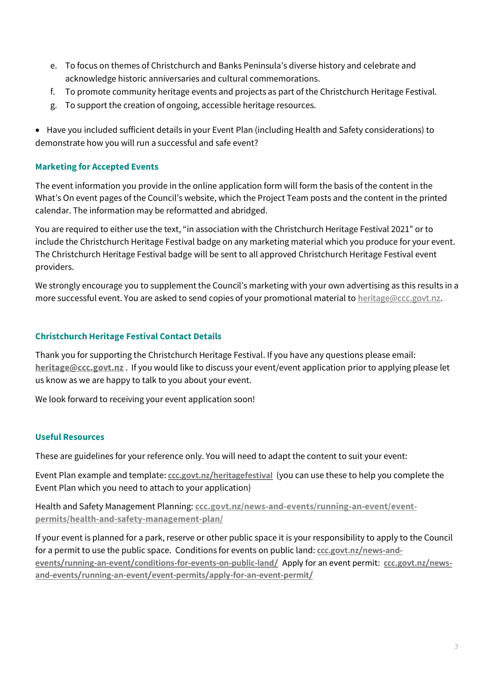- e. To focus on themes of Christchurch and Banks Peninsula's diverse history and celebrate and acknowledge historic anniversaries and cultural commemorations.
- f. To promote community heritage events and projects as part of the Christchurch Heritage Festival.
- g. To support the creation of ongoing, accessible heritage resources.

• Have you included sufficient details in your Event Plan (including Health and Safety considerations) to demonstrate how you will run a successful and safe event?

## **Marketing for Accepted Events**

The event information you provide in the online application form will form the basis of the content in the What's On event pages of the Council's website, which the Project Team posts and the content in the printed calendar. The information may be reformatted and abridged.

You are required to either use the text, "in association with the Christchurch Heritage Festival 2021" or to include the Christchurch Heritage Festival badge on any marketing material which you produce for your event. The Christchurch Heritage Festival badge will be sent to all approved Christchurch Heritage Festival event providers.

We strongly encourage you to supplement the Council's marketing with your own advertising as this results in a more successful event. You are asked to send copies of your promotional material t[o heritage@ccc.govt.nz.](mailto:heritage@ccc.govt.nz)

## **Christchurch Heritage Festival Contact Details**

Thank you for supporting the Christchurch Heritage Festival. If you have any questions please email: **[heritage@ccc.govt.nz](mailto:heritage@ccc.govt.nz)** . If you would like to discuss your event/event application prior to applying please let us know as we are happy to talk to you about your event.

We look forward to receiving your event application soon!

#### **Useful Resources**

These are guidelines for your reference only. You will need to adapt the content to suit your event:

Event Plan example and template: **[ccc.govt.nz/heritagefestival](https://ccc.govt.nz/culture-and-community/heritage/heritagefestival/)** (you can use these to help you complete the Event Plan which you need to attach to your application)

Health and Safety Management Planning: **[ccc.govt.nz/news-and-events/running-an-event/event](https://www.ccc.govt.nz/news-and-events/running-an-event/event-permits/health-and-safety-management-plan/)[permits/health-and-safety-management-plan/](https://www.ccc.govt.nz/news-and-events/running-an-event/event-permits/health-and-safety-management-plan/)**

If your event is planned for a park, reserve or other public space it is your responsibility to apply to the Council for a permit to use the public space. Conditions for events on public land: **[ccc.govt.nz/news-and](https://ccc.govt.nz/news-and-events/running-an-event/conditions-for-events-on-public-land/)[events/running-an-event/conditions-for-events-on-public-land/](https://ccc.govt.nz/news-and-events/running-an-event/conditions-for-events-on-public-land/)** Apply for an event permit: **[ccc.govt.nz/news](https://ccc.govt.nz/news-and-events/running-an-event/event-permits/apply-for-an-event-permit/)[and-events/running-an-event/event-permits/apply-for-an-event-permit/](https://ccc.govt.nz/news-and-events/running-an-event/event-permits/apply-for-an-event-permit/)**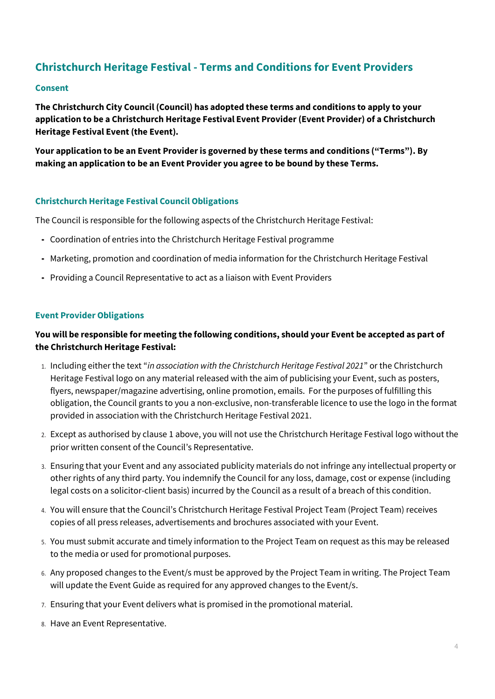# **Christchurch Heritage Festival - Terms and Conditions for Event Providers**

#### **Consent**

**The Christchurch City Council (Council) has adopted these terms and conditions to apply to your application to be a Christchurch Heritage Festival Event Provider(Event Provider) of a Christchurch Heritage Festival Event (the Event).**

**Your application to be an Event Provider is governed by these terms and conditions ("Terms"). By making an application to be an Event Provider you agree to be bound by these Terms.**

#### **Christchurch Heritage Festival Council Obligations**

The Council is responsible for the following aspects of the Christchurch Heritage Festival:

- Coordination of entries into the Christchurch Heritage Festival programme
- Marketing, promotion and coordination of media information for the Christchurch Heritage Festival
- Providing a Council Representative to act as a liaison with Event Providers

#### **Event Provider Obligations**

# **You will be responsible for meeting the following conditions, should your Event be accepted as part of the Christchurch Heritage Festival:**

- 1. Including either the text "*in association with the Christchurch Heritage Festival 2021*" or the Christchurch Heritage Festival logo on any material released with the aim of publicising your Event, such as posters, flyers, newspaper/magazine advertising, online promotion, emails. For the purposes of fulfilling this obligation, the Council grants to you a non-exclusive, non-transferable licence to use the logo in the format provided in association with the Christchurch Heritage Festival 2021.
- 2. Except as authorised by clause 1 above, you will not use the Christchurch Heritage Festival logo without the prior written consent of the Council's Representative.
- 3. Ensuring that your Event and any associated publicity materials do not infringe any intellectual property or other rights of any third party. You indemnify the Council for any loss, damage, cost or expense (including legal costs on a solicitor-client basis) incurred by the Council as a result of a breach of this condition.
- 4. You will ensure that the Council's Christchurch Heritage Festival Project Team (Project Team) receives copies of all press releases, advertisements and brochures associated with your Event.
- 5. You must submit accurate and timely information to the Project Team on request as this may be released to the media or used for promotional purposes.
- 6. Any proposed changes to the Event/s must be approved by the Project Team in writing. The Project Team will update the Event Guide as required for any approved changes to the Event/s.
- 7. Ensuring that your Event delivers what is promised in the promotional material.
- 8. Have an Event Representative.